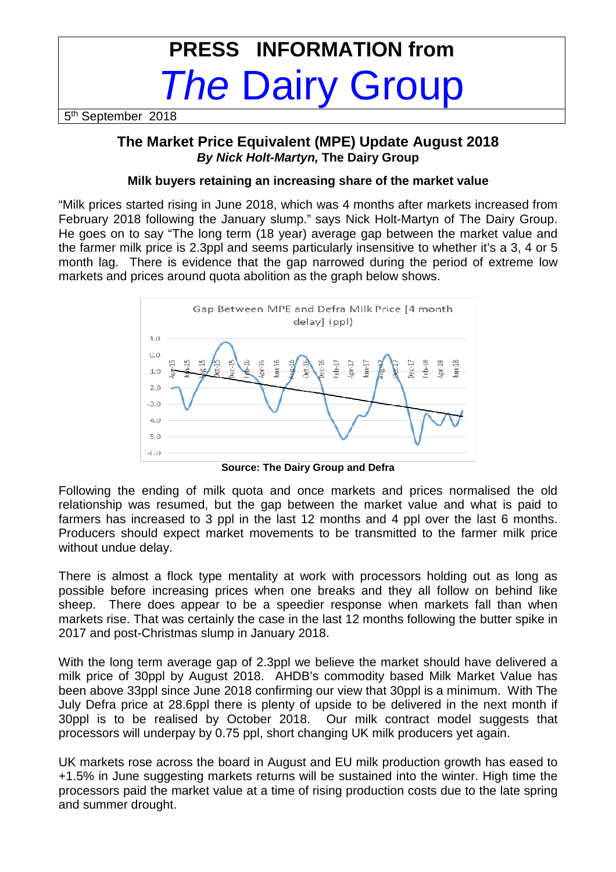# **PRESS INFORMATION from**  The Dairy Group

5<sup>th</sup> September 2018

## **The Market Price Equivalent (MPE) Update August 2018 By Nick Holt-Martyn, The Dairy Group**

### **Milk buyers retaining an increasing share of the market value**

"Milk prices started rising in June 2018, which was 4 months after markets increased from February 2018 following the January slump." says Nick Holt-Martyn of The Dairy Group. He goes on to say "The long term (18 year) average gap between the market value and the farmer milk price is 2.3ppl and seems particularly insensitive to whether it's a 3, 4 or 5 month lag. There is evidence that the gap narrowed during the period of extreme low markets and prices around quota abolition as the graph below shows.



**Source: The Dairy Group and Defra** 

Following the ending of milk quota and once markets and prices normalised the old relationship was resumed, but the gap between the market value and what is paid to farmers has increased to 3 ppl in the last 12 months and 4 ppl over the last 6 months. Producers should expect market movements to be transmitted to the farmer milk price without undue delay.

There is almost a flock type mentality at work with processors holding out as long as possible before increasing prices when one breaks and they all follow on behind like sheep. There does appear to be a speedier response when markets fall than when markets rise. That was certainly the case in the last 12 months following the butter spike in 2017 and post-Christmas slump in January 2018.

With the long term average gap of 2.3ppl we believe the market should have delivered a milk price of 30ppl by August 2018. AHDB's commodity based Milk Market Value has been above 33ppl since June 2018 confirming our view that 30ppl is a minimum. With The July Defra price at 28.6ppl there is plenty of upside to be delivered in the next month if 30ppl is to be realised by October 2018. Our milk contract model suggests that processors will underpay by 0.75 ppl, short changing UK milk producers yet again.

UK markets rose across the board in August and EU milk production growth has eased to +1.5% in June suggesting markets returns will be sustained into the winter. High time the processors paid the market value at a time of rising production costs due to the late spring and summer drought.